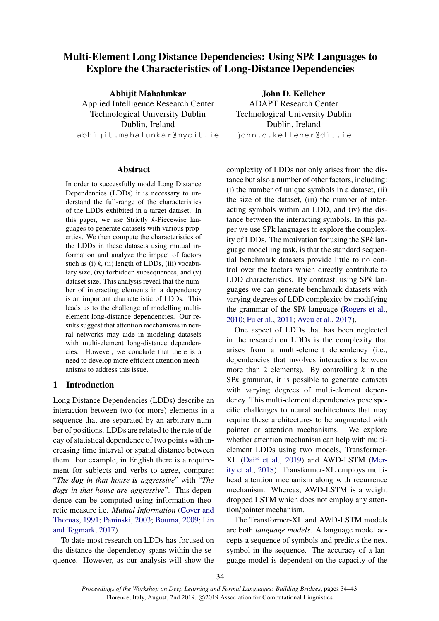# Multi-Element Long Distance Dependencies: Using SP*k* Languages to Explore the Characteristics of Long-Distance Dependencies

Abhijit Mahalunkar Applied Intelligence Research Center Technological University Dublin Dublin, Ireland abhijit.mahalunkar@mydit.ie

#### Abstract

In order to successfully model Long Distance Dependencies (LDDs) it is necessary to understand the full-range of the characteristics of the LDDs exhibited in a target dataset. In this paper, we use Strictly *k*-Piecewise languages to generate datasets with various properties. We then compute the characteristics of the LDDs in these datasets using mutual information and analyze the impact of factors such as  $(i)$   $k$ ,  $(ii)$  length of LDDs,  $(iii)$  vocabulary size, (iv) forbidden subsequences, and (v) dataset size. This analysis reveal that the number of interacting elements in a dependency is an important characteristic of LDDs. This leads us to the challenge of modelling multielement long-distance dependencies. Our results suggest that attention mechanisms in neural networks may aide in modeling datasets with multi-element long-distance dependencies. However, we conclude that there is a need to develop more efficient attention mechanisms to address this issue.

#### 1 Introduction

Long Distance Dependencies (LDDs) describe an interaction between two (or more) elements in a sequence that are separated by an arbitrary number of positions. LDDs are related to the rate of decay of statistical dependence of two points with increasing time interval or spatial distance between them. For example, in English there is a requirement for subjects and verbs to agree, compare: "*The dog in that house is aggressive*" with "*The dogs in that house are aggressive*". This dependence can be computed using information theoretic measure i.e. *Mutual Information* [\(Cover and](#page-8-0) [Thomas,](#page-8-0) [1991;](#page-8-0) [Paninski,](#page-8-1) [2003;](#page-8-1) [Bouma,](#page-8-2) [2009;](#page-8-2) [Lin](#page-8-3) [and Tegmark,](#page-8-3) [2017\)](#page-8-3).

To date most research on LDDs has focused on the distance the dependency spans within the sequence. However, as our analysis will show the John D. Kelleher

ADAPT Research Center Technological University Dublin Dublin, Ireland john.d.kelleher@dit.ie

complexity of LDDs not only arises from the distance but also a number of other factors, including: (i) the number of unique symbols in a dataset, (ii) the size of the dataset, (iii) the number of interacting symbols within an LDD, and (iv) the distance between the interacting symbols. In this paper we use SPk languages to explore the complexity of LDDs. The motivation for using the SP*k* language modelling task, is that the standard sequential benchmark datasets provide little to no control over the factors which directly contribute to LDD characteristics. By contrast, using SP*k* languages we can generate benchmark datasets with varying degrees of LDD complexity by modifying the grammar of the SP*k* language [\(Rogers et al.,](#page-8-4) [2010;](#page-8-4) [Fu et al.,](#page-8-5) [2011;](#page-8-5) [Avcu et al.,](#page-8-6) [2017\)](#page-8-6).

One aspect of LDDs that has been neglected in the research on LDDs is the complexity that arises from a multi-element dependency (i.e., dependencies that involves interactions between more than 2 elements). By controlling *k* in the SP*k* grammar, it is possible to generate datasets with varying degrees of multi-element dependency. This multi-element dependencies pose specific challenges to neural architectures that may require these architectures to be augmented with pointer or attention mechanisms. We explore whether attention mechanism can help with multielement LDDs using two models, Transformer-XL [\(Dai\\* et al.,](#page-8-7) [2019\)](#page-8-7) and AWD-LSTM [\(Mer](#page-8-8)[ity et al.,](#page-8-8) [2018\)](#page-8-8). Transformer-XL employs multihead attention mechanism along with recurrence mechanism. Whereas, AWD-LSTM is a weight dropped LSTM which does not employ any attention/pointer mechanism.

The Transformer-XL and AWD-LSTM models are both *language models*. A language model accepts a sequence of symbols and predicts the next symbol in the sequence. The accuracy of a language model is dependent on the capacity of the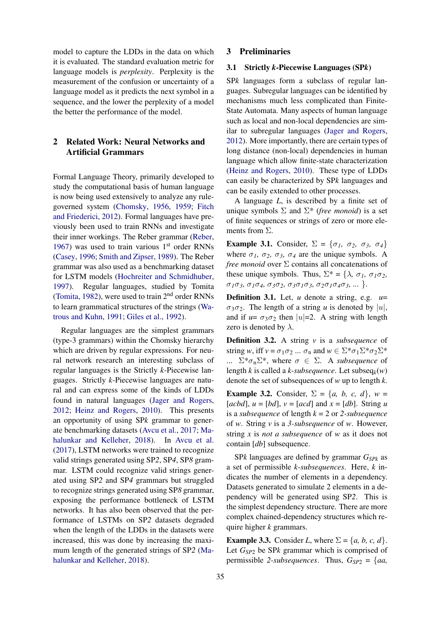model to capture the LDDs in the data on which it is evaluated. The standard evaluation metric for language models is *perplexity*. Perplexity is the measurement of the confusion or uncertainty of a language model as it predicts the next symbol in a sequence, and the lower the perplexity of a model the better the performance of the model.

## 2 Related Work: Neural Networks and Artificial Grammars

Formal Language Theory, primarily developed to study the computational basis of human language is now being used extensively to analyze any rulegoverned system [\(Chomsky,](#page-8-9) [1956,](#page-8-9) [1959;](#page-8-10) [Fitch](#page-8-11) [and Friederici,](#page-8-11) [2012\)](#page-8-11). Formal languages have previously been used to train RNNs and investigate their inner workings. The Reber grammar [\(Reber,](#page-8-12) [1967\)](#page-8-12) was used to train various  $1<sup>st</sup>$  order RNNs [\(Casey,](#page-8-13) [1996;](#page-8-13) [Smith and Zipser,](#page-8-14) [1989\)](#page-8-14). The Reber grammar was also used as a benchmarking dataset for LSTM models [\(Hochreiter and Schmidhuber,](#page-8-15) [1997\)](#page-8-15). Regular languages, studied by Tomita [\(Tomita,](#page-8-16) [1982\)](#page-8-16), were used to train  $2<sup>nd</sup>$  order RNNs to learn grammatical structures of the strings [\(Wa](#page-9-0)[trous and Kuhn,](#page-9-0) [1991;](#page-9-0) [Giles et al.,](#page-8-17) [1992\)](#page-8-17).

Regular languages are the simplest grammars (type-3 grammars) within the Chomsky hierarchy which are driven by regular expressions. For neural network research an interesting subclass of regular languages is the Strictly *k*-Piecewise languages. Strictly *k*-Piecewise languages are natural and can express some of the kinds of LDDs found in natural languages [\(Jager and Rogers,](#page-8-18) [2012;](#page-8-18) [Heinz and Rogers,](#page-8-19) [2010\)](#page-8-19). This presents an opportunity of using SP*k* grammar to generate benchmarking datasets [\(Avcu et al.,](#page-8-6) [2017;](#page-8-6) [Ma](#page-8-20)[halunkar and Kelleher,](#page-8-20) [2018\)](#page-8-20). In [Avcu et al.](#page-8-6) [\(2017\)](#page-8-6), LSTM networks were trained to recognize valid strings generated using SP*2*, SP*4*, SP*8* grammar. LSTM could recognize valid strings generated using SP*2* and SP*4* grammars but struggled to recognize strings generated using SP*8* grammar, exposing the performance bottleneck of LSTM networks. It has also been observed that the performance of LSTMs on SP*2* datasets degraded when the length of the LDDs in the datasets were increased, this was done by increasing the maximum length of the generated strings of SP*2* [\(Ma](#page-8-20)[halunkar and Kelleher,](#page-8-20) [2018\)](#page-8-20).

### 3 Preliminaries

### 3.1 Strictly *k*-Piecewise Languages (SP*k*)

SP*k* languages form a subclass of regular languages. Subregular languages can be identified by mechanisms much less complicated than Finite-State Automata. Many aspects of human language such as local and non-local dependencies are similar to subregular languages [\(Jager and Rogers,](#page-8-18) [2012\)](#page-8-18). More importantly, there are certain types of long distance (non-local) dependencies in human language which allow finite-state characterization [\(Heinz and Rogers,](#page-8-19) [2010\)](#page-8-19). These type of LDDs can easily be characterized by SP*k* languages and can be easily extended to other processes.

A language *L*, is described by a finite set of unique symbols  $\Sigma$  and  $\Sigma^*$  (*free monoid*) is a set of finite sequences or strings of zero or more elements from Σ.

Example 3.1. Consider,  $\Sigma = {\sigma_1, \sigma_2, \sigma_3, \sigma_4}$ where  $\sigma_1$ ,  $\sigma_2$ ,  $\sigma_3$ ,  $\sigma_4$  are the unique symbols. A *free monoid* over Σ contains all concatenations of these unique symbols. Thus,  $\Sigma^* = {\lambda, \sigma_1, \sigma_1 \sigma_2}$ , σ*1*σ*3,* σ*1*σ*4,* σ*3*σ*2,* σ*3*σ*1*σ*3,* σ*2*σ*1*σ*4*σ*3, ...* }.

**Definition 3.1.** Let, *u* denote a string, e.g.  $u=$  $\sigma_3 \sigma_2$ . The length of a string *u* is denoted by |*u*|, and if  $u = \sigma_3 \sigma_2$  then  $|u|=2$ . A string with length zero is denoted by  $\lambda$ .

<span id="page-1-1"></span>Definition 3.2. A string *v* is a *subsequence* of string *w*, iff  $v = \sigma_1 \sigma_2 ... \sigma_n$  and  $w \in \Sigma^* \sigma_1 \Sigma^* \sigma_2 \Sigma^*$ ...  $\Sigma^* \sigma_n \Sigma^*$ , where  $\sigma \in \Sigma$ . A *subsequence* of length *k* is called a *k-subsequence*. Let subseq*k*(*w*) denote the set of subsequences of *w* up to length *k*.

**Example 3.2.** Consider,  $\Sigma = \{a, b, c, d\}$ ,  $w =$ [ $acbd$ ],  $u = [bd]$ ,  $v = [acd]$  and  $x = [db]$ . String *u* is a *subsequence* of length *k* = 2 or *2-subsequence* of *w*. String *v* is a *3-subsequence* of *w*. However, string *x* is *not a subsequence* of *w* as it does not contain [*db*] subsequence.

SP*k* languages are defined by grammar *GSPk* as a set of permissible *k*-*subsequences*. Here, *k* indicates the number of elements in a dependency. Datasets generated to simulate 2 elements in a dependency will be generated using SP*2*. This is the simplest dependency structure. There are more complex chained-dependency structures which require higher *k* grammars.

<span id="page-1-0"></span>**Example 3.3.** Consider *L*, where  $\Sigma = \{a, b, c, d\}.$ Let *GSP*<sup>2</sup> be SP*k* grammar which is comprised of permissible 2-subsequences. Thus,  $G_{SP2} = \{aa,$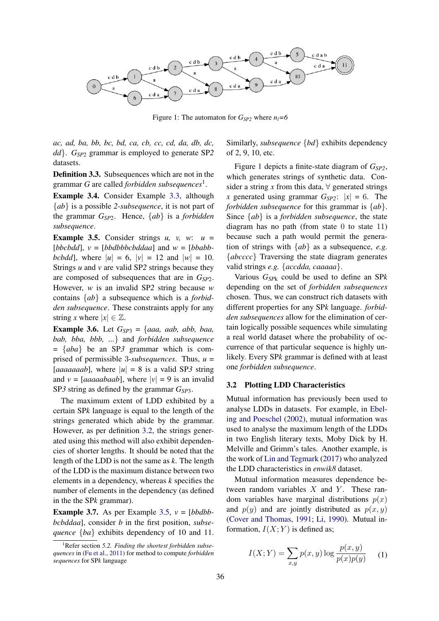<span id="page-2-2"></span>

Figure 1: The automaton for  $G_{SP2}$  where  $n_l = 6$ 

*ac, ad, ba, bb, bc, bd, ca, cb, cc, cd, da, db, dc, dd*}. *GSP*<sup>2</sup> grammar is employed to generate SP*2* datasets.

Definition 3.3. Subsequences which are not in the grammar *G* are called *forbidden subsequences*[1](#page-2-0) .

Example 3.4. Consider Example [3.3,](#page-1-0) although {*ab*} is a possible *2-subsequence*, it is not part of the grammar *GSP*2. Hence, {*ab*} is a *forbidden subsequence*.

<span id="page-2-1"></span>**Example 3.5.** Consider strings  $u$ ,  $v$ ,  $w$ :  $u$  =  $[bbcbdd]$ ,  $v = [bbdbbbbcbddaa]$  and  $w = [bbabb-bdd]$ *bcbdd*], where  $|u| = 6$ ,  $|v| = 12$  and  $|w| = 10$ . Strings *u* and *v* are valid SP*2* strings because they are composed of subsequences that are in *GSP*2. However, *w* is an invalid SP*2* string because *w* contains {*ab*} a subsequence which is a *forbidden subsequence*. These constraints apply for any string *x* where  $|x| \in \mathbb{Z}$ .

<span id="page-2-3"></span>**Example 3.6.** Let  $G_{SP3} = \{aaa, aab, abb, baa,$ *bab, bba, bbb, ...*} and *forbidden subsequence* = {*aba*} be an SP*3* grammar which is comprised of permissible 3-*subsequences*. Thus, *u* = [*aaaaaaab*], where  $|u| = 8$  is a valid SP3 string and  $v = [aaaaabaab]$ , where  $|v| = 9$  is an invalid SP*3* string as defined by the grammar *GSP*3.

The maximum extent of LDD exhibited by a certain SP*k* language is equal to the length of the strings generated which abide by the grammar. However, as per definition [3.2,](#page-1-1) the strings generated using this method will also exhibit dependencies of shorter lengths. It should be noted that the length of the LDD is not the same as *k*. The length of the LDD is the maximum distance between two elements in a dependency, whereas *k* specifies the number of elements in the dependency (as defined in the the SP*k* grammar).

**Example 3.7.** As per Example [3.5,](#page-2-1)  $v = [bbdbb$ *bcbddaa*], consider *b* in the first position, *subsequence* {*ba*} exhibits dependency of 10 and 11. Similarly, *subsequence* {*bd*} exhibits dependency of 2, 9, 10, etc.

Figure [1](#page-2-2) depicts a finite-state diagram of *GSP2*, which generates strings of synthetic data. Consider a string *x* from this data,  $\forall$  generated strings *x* generated using grammar  $G_{SP2}$ :  $|x| = 6$ . The *forbidden subsequence* for this grammar is {*ab*}. Since {*ab*} is a *forbidden subsequence*, the state diagram has no path (from state  $0$  to state  $11$ ) because such a path would permit the generation of strings with {*ab*} as a subsequence, *e.g.* {*abcccc*} Traversing the state diagram generates valid strings *e.g.* {*accdda, caaaaa*}.

Various *GSP*<sup>k</sup> could be used to define an SP*k* depending on the set of *forbidden subsequences* chosen. Thus, we can construct rich datasets with different properties for any SP*k* language. *forbidden subsequences* allow for the elimination of certain logically possible sequences while simulating a real world dataset where the probability of occurrence of that particular sequence is highly unlikely. Every SP*k* grammar is defined with at least one *forbidden subsequence*.

#### 3.2 Plotting LDD Characteristics

Mutual information has previously been used to analyse LDDs in datasets. For example, in [Ebel](#page-8-21)[ing and Poeschel](#page-8-21) [\(2002\)](#page-8-21), mutual information was used to analyse the maximum length of the LDDs in two English literary texts, Moby Dick by H. Melville and Grimm's tales. Another example, is the work of [Lin and Tegmark](#page-8-3) [\(2017\)](#page-8-3) who analyzed the LDD characteristics in *enwik8* dataset.

Mutual information measures dependence between random variables  $X$  and  $Y$ . These random variables have marginal distributions  $p(x)$ and  $p(y)$  and are jointly distributed as  $p(x, y)$ [\(Cover and Thomas,](#page-8-0) [1991;](#page-8-0) [Li,](#page-8-22) [1990\)](#page-8-22). Mutual information,  $I(X; Y)$  is defined as;

$$
I(X;Y) = \sum_{x,y} p(x,y) \log \frac{p(x,y)}{p(x)p(y)} \quad (1)
$$

<span id="page-2-0"></span><sup>&</sup>lt;sup>1</sup>Refer section 5.2. Finding the shortest forbidden subse*quences* in [\(Fu et al.,](#page-8-5) [2011\)](#page-8-5) for method to compute *forbidden sequences* for SP*k* language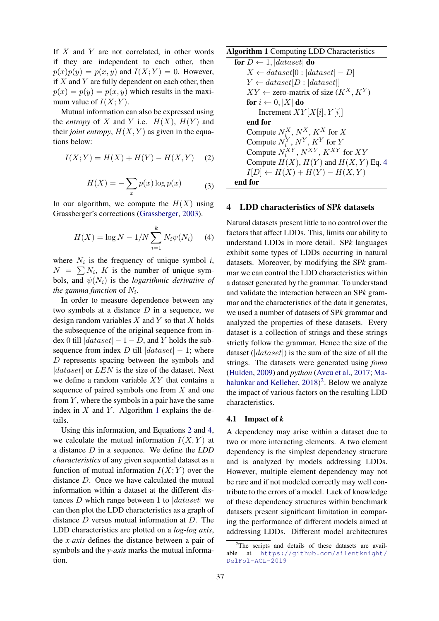If  $X$  and  $Y$  are not correlated, in other words if they are independent to each other, then  $p(x)p(y) = p(x, y)$  and  $I(X; Y) = 0$ . However, if  $X$  and  $Y$  are fully dependent on each other, then  $p(x) = p(y) = p(x, y)$  which results in the maximum value of  $I(X; Y)$ .

Mutual information can also be expressed using the *entropy* of X and Y i.e.  $H(X)$ ,  $H(Y)$  and their *joint entropy*,  $H(X, Y)$  as given in the equations below:

<span id="page-3-1"></span>
$$
I(X;Y) = H(X) + H(Y) - H(X,Y) \quad (2)
$$

$$
H(X) = -\sum_{x} p(x) \log p(x) \tag{3}
$$

In our algorithm, we compute the  $H(X)$  using Grassberger's corrections [\(Grassberger,](#page-8-23) [2003\)](#page-8-23).

$$
H(X) = \log N - 1/N \sum_{i=1}^{k} N_i \psi(N_i)
$$
 (4)

where  $N_i$  is the frequency of unique symbol  $i$ ,  $N = \sum N_i$ , K is the number of unique symbols, and  $\psi(N_i)$  is the *logarithmic derivative of the gamma function* of  $N_i$ .

In order to measure dependence between any two symbols at a distance  $D$  in a sequence, we design random variables  $X$  and  $Y$  so that  $X$  holds the subsequence of the original sequence from index 0 till  $|dataset| - 1 - D$ , and Y holds the subsequence from index D till  $|dataset| - 1$ ; where D represents spacing between the symbols and  $|dataset|$  or  $LEN$  is the size of the dataset. Next we define a random variable XY that contains a sequence of paired symbols one from X and one from  $Y$ , where the symbols in a pair have the same index in  $X$  and  $Y$ . Algorithm [1](#page-3-0) explains the details.

Using this information, and Equations [2](#page-3-1) and [4,](#page-3-2) we calculate the mutual information  $I(X, Y)$  at a distance D in a sequence. We define the *LDD characteristics* of any given sequential dataset as a function of mutual information  $I(X; Y)$  over the distance D. Once we have calculated the mutual information within a dataset at the different distances D which range between 1 to  $|dataset|$  we can then plot the LDD characteristics as a graph of distance D versus mutual information at D. The LDD characteristics are plotted on a *log-log axis*, the *x-axis* defines the distance between a pair of symbols and the *y-axis* marks the mutual information.

<span id="page-3-0"></span>Algorithm 1 Computing LDD Characteristics  
\nfor 
$$
D \leftarrow 1
$$
,  $|dataset|$  do  
\n $X \leftarrow dataset[0 : |dataset| - D]$   
\n $Y \leftarrow dataset[D : |dataset|]$   
\n $XY \leftarrow zero$ -matrix of size  $(K^X, K^Y)$   
\nfor  $i \leftarrow 0, |X|$  do  
\nIncrement  $XY[X[i], Y[i]]$   
\nend for  
\nCompute  $N_i^X, N^X, K^X$  for  $X$   
\nCompute  $N_i^X, N^Y, K^Y$  for  $Y$   
\nCompute  $N_i^X, N^Y, K^Y$  for  $YY$   
\nCompute  $H(X), H(Y)$  and  $H(X, Y)$  Eq. 4  
\n $I[D] \leftarrow H(X) + H(Y) - H(X, Y)$   
\nend for

### <span id="page-3-2"></span>4 LDD characteristics of SP*k* datasets

Natural datasets present little to no control over the factors that affect LDDs. This, limits our ability to understand LDDs in more detail. SP*k* languages exhibit some types of LDDs occurring in natural datasets. Moreover, by modifying the SP*k* grammar we can control the LDD characteristics within a dataset generated by the grammar. To understand and validate the interaction between an SP*k* grammar and the characteristics of the data it generates, we used a number of datasets of SP*k* grammar and analyzed the properties of these datasets. Every dataset is a collection of strings and these strings strictly follow the grammar. Hence the size of the dataset ( $|dataset|$ ) is the sum of the size of all the strings. The datasets were generated using *foma* [\(Hulden,](#page-8-24) [2009\)](#page-8-24) and *python* [\(Avcu et al.,](#page-8-6) [2017;](#page-8-6) [Ma](#page-8-20)[halunkar and Kelleher,](#page-8-20) [2018\)](#page-8-20)<sup>[2](#page-3-3)</sup>. Below we analyze the impact of various factors on the resulting LDD characteristics.

#### <span id="page-3-4"></span>4.1 Impact of *k*

A dependency may arise within a dataset due to two or more interacting elements. A two element dependency is the simplest dependency structure and is analyzed by models addressing LDDs. However, multiple element dependency may not be rare and if not modeled correctly may well contribute to the errors of a model. Lack of knowledge of these dependency structures within benchmark datasets present significant limitation in comparing the performance of different models aimed at addressing LDDs. Different model architectures

<span id="page-3-3"></span><sup>&</sup>lt;sup>2</sup>The scripts and details of these datasets are available at [https://github.com/silentknight/](https://github.com/silentknight/DelFol-ACL-2019) [DelFol-ACL-2019](https://github.com/silentknight/DelFol-ACL-2019)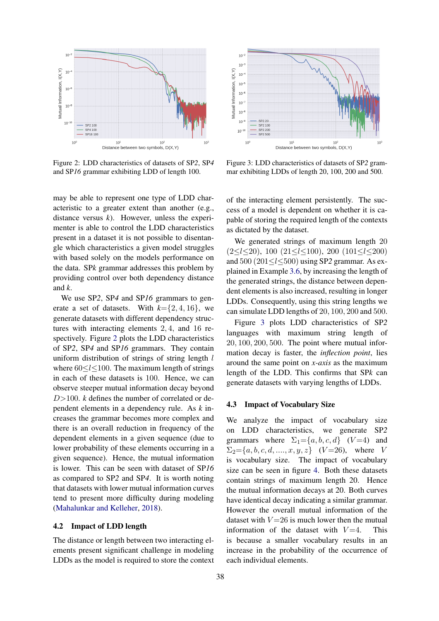<span id="page-4-0"></span>

Figure 2: LDD characteristics of datasets of SP*2*, SP*4* and SP*16* grammar exhibiting LDD of length 100.

may be able to represent one type of LDD characteristic to a greater extent than another (e.g., distance versus *k*). However, unless the experimenter is able to control the LDD characteristics present in a dataset it is not possible to disentangle which characteristics a given model struggles with based solely on the models performance on the data. SP*k* grammar addresses this problem by providing control over both dependency distance and *k*.

We use SP*2*, SP*4* and SP*16* grammars to generate a set of datasets. With  $k = \{2, 4, 16\}$ , we generate datasets with different dependency structures with interacting elements 2, 4, and 16 respectively. Figure [2](#page-4-0) plots the LDD characteristics of SP*2*, SP*4* and SP*16* grammars. They contain uniform distribution of strings of string length  $l$ where  $60 \le l \le 100$ . The maximum length of strings in each of these datasets is 100. Hence, we can observe steeper mutual information decay beyond D>100. *k* defines the number of correlated or dependent elements in a dependency rule. As *k* increases the grammar becomes more complex and there is an overall reduction in frequency of the dependent elements in a given sequence (due to lower probability of these elements occurring in a given sequence). Hence, the mutual information is lower. This can be seen with dataset of SP*16* as compared to SP*2* and SP*4*. It is worth noting that datasets with lower mutual information curves tend to present more difficulty during modeling [\(Mahalunkar and Kelleher,](#page-8-20) [2018\)](#page-8-20).

#### 4.2 Impact of LDD length

The distance or length between two interacting elements present significant challenge in modeling LDDs as the model is required to store the context

<span id="page-4-1"></span>

Figure 3: LDD characteristics of datasets of SP*2* grammar exhibiting LDDs of length 20, 100, 200 and 500.

of the interacting element persistently. The success of a model is dependent on whether it is capable of storing the required length of the contexts as dictated by the dataset.

We generated strings of maximum length 20  $(2 \le l \le 20)$ , 100  $(21 \le l \le 100)$ , 200  $(101 \le l \le 200)$ and 500 (201≤l≤500) using SP*2* grammar. As explained in Example [3.6,](#page-2-3) by increasing the length of the generated strings, the distance between dependent elements is also increased, resulting in longer LDDs. Consequently, using this string lengths we can simulate LDD lengths of 20, 100, 200 and 500.

Figure [3](#page-4-1) plots LDD characteristics of SP*2* languages with maximum string length of 20, 100, 200, 500. The point where mutual information decay is faster, the *inflection point*, lies around the same point on *x-axis* as the maximum length of the LDD. This confirms that SP*k* can generate datasets with varying lengths of LDDs.

#### <span id="page-4-2"></span>4.3 Impact of Vocabulary Size

We analyze the impact of vocabulary size on LDD characteristics, we generate SP*2* grammars where  $\Sigma_1 = \{a, b, c, d\}$  (V=4) and  $\Sigma_2 = \{a, b, c, d, \ldots, x, y, z\}$  (V=26), where V is vocabulary size. The impact of vocabulary size can be seen in figure [4.](#page-5-0) Both these datasets contain strings of maximum length 20. Hence the mutual information decays at 20. Both curves have identical decay indicating a similar grammar. However the overall mutual information of the dataset with  $V = 26$  is much lower then the mutual information of the dataset with  $V=4$ . This is because a smaller vocabulary results in an increase in the probability of the occurrence of each individual elements.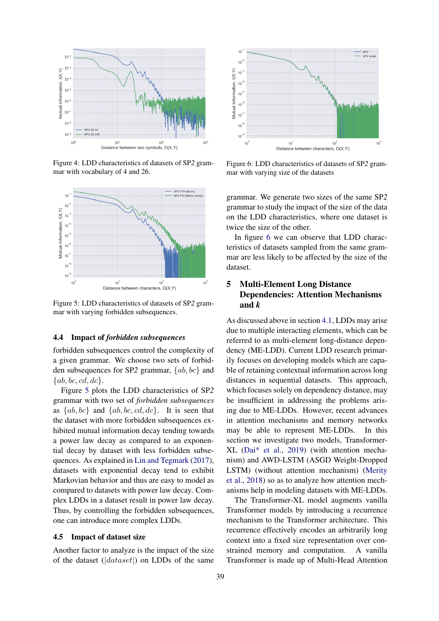<span id="page-5-0"></span>

Figure 4: LDD characteristics of datasets of SP*2* grammar with vocabulary of 4 and 26.

<span id="page-5-1"></span>

Figure 5: LDD characteristics of datasets of SP*2* grammar with varying forbidden subsequences.

#### 4.4 Impact of *forbidden subsequences*

forbidden subsequences control the complexity of a given grammar. We choose two sets of forbidden subsequences for SP*2* grammar, {ab, bc} and  $\{ab, bc, cd, dc\}.$ 

Figure [5](#page-5-1) plots the LDD characteristics of SP*2* grammar with two set of *forbidden subsequences* as  $\{ab, bc\}$  and  $\{ab, bc, cd, dc\}$ . It is seen that the dataset with more forbidden subsequences exhibited mutual information decay tending towards a power law decay as compared to an exponential decay by dataset with less forbidden subsequences. As explained in [Lin and Tegmark](#page-8-3) [\(2017\)](#page-8-3), datasets with exponential decay tend to exhibit Markovian behavior and thus are easy to model as compared to datasets with power law decay. Complex LDDs in a dataset result in power law decay. Thus, by controlling the forbidden subsequences, one can introduce more complex LDDs.

#### <span id="page-5-3"></span>4.5 Impact of dataset size

Another factor to analyze is the impact of the size of the dataset ( $|dataset|$ ) on LDDs of the same

<span id="page-5-2"></span>

Figure 6: LDD characteristics of datasets of SP*2* grammar with varying size of the datasets

grammar. We generate two sizes of the same SP*2* grammar to study the impact of the size of the data on the LDD characteristics, where one dataset is twice the size of the other.

In figure [6](#page-5-2) we can observe that LDD characteristics of datasets sampled from the same grammar are less likely to be affected by the size of the dataset.

## 5 Multi-Element Long Distance Dependencies: Attention Mechanisms and *k*

As discussed above in section [4.1,](#page-3-4) LDDs may arise due to multiple interacting elements, which can be referred to as multi-element long-distance dependency (ME-LDD). Current LDD research primarily focuses on developing models which are capable of retaining contextual information across long distances in sequential datasets. This approach, which focuses solely on dependency distance, may be insufficient in addressing the problems arising due to ME-LDDs. However, recent advances in attention mechanisms and memory networks may be able to represent ME-LDDs. In this section we investigate two models, Transformer-XL [\(Dai\\* et al.,](#page-8-7) [2019\)](#page-8-7) (with attention mechanism) and AWD-LSTM (ASGD Weight-Dropped LSTM) (without attention mechanism) [\(Merity](#page-8-8) [et al.,](#page-8-8) [2018\)](#page-8-8) so as to analyze how attention mechanisms help in modeling datasets with ME-LDDs.

The Transformer-XL model augments vanilla Transformer models by introducing a recurrence mechanism to the Transformer architecture. This recurrence effectively encodes an arbitrarily long context into a fixed size representation over constrained memory and computation. A vanilla Transformer is made up of Multi-Head Attention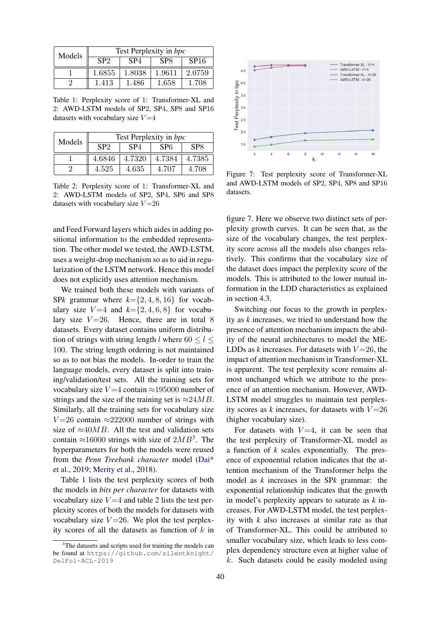<span id="page-6-1"></span>

| Models | Test Perplexity in bpc |                 |                 |                  |  |
|--------|------------------------|-----------------|-----------------|------------------|--|
|        | SP2                    | SP <sub>4</sub> | SP <sub>8</sub> | SP <sub>16</sub> |  |
|        | 1.6855                 | 1.8038          | 1.9611          | 2.0759           |  |
|        | 1.413                  | 1.486           | 1.658           | 1.708            |  |

Table 1: Perplexity score of 1: Transformer-XL and 2: AWD-LSTM models of SP2, SP4, SP8 and SP16 datasets with vocabulary size  $V = 4$ 

<span id="page-6-2"></span>

| Models | Test Perplexity in bpc |                 |        |                 |  |
|--------|------------------------|-----------------|--------|-----------------|--|
|        | SP <sub>2</sub>        | SP <sub>4</sub> | SP6    | SP <sub>8</sub> |  |
|        | 4.6846                 | 4.7320          | 4.7384 | 4.7385          |  |
|        | 4.525                  | 4.635           | 4.707  | 4.708           |  |

Table 2: Perplexity score of 1: Transformer-XL and 2: AWD-LSTM models of SP2, SP4, SP6 and SP8 datasets with vocabulary size  $V = 26$ 

and Feed Forward layers which aides in adding positional information to the embedded representation. The other model we tested, the AWD-LSTM, uses a weight-drop mechanism so as to aid in regularization of the LSTM network. Hence this model does not explicitly uses attention mechanism.

We trained both these models with variants of SP*k* grammar where  $k = \{2, 4, 8, 16\}$  for vocabulary size  $V=4$  and  $k=\{2,4,6,8\}$  for vocabulary size  $V = 26$ . Hence, there are in total 8 datasets. Every dataset contains uniform distribution of strings with string length l where  $60 \le l \le$ 100. The string length ordering is not maintained so as to not bias the models. In-order to train the language models, every dataset is split into training/validation/test sets. All the training sets for vocabulary size  $V = 4$  contain  $\approx 195000$  number of strings and the size of the training set is  $\approx 24MB$ . Similarly, all the training sets for vocabulary size  $V = 26$  contain ≈222000 number of strings with size of  $\approx 40MB$ . All the test and validation sets contain  $\approx$ 16000 strings with size of  $2MB^3$  $2MB^3$ . The hyperparameters for both the models were reused from the *Penn Treebank character* model [\(Dai\\*](#page-8-7) [et al.,](#page-8-7) [2019;](#page-8-7) [Merity et al.,](#page-8-8) [2018\)](#page-8-8).

Table [1](#page-6-1) lists the test perplexity scores of both the models in *bits per character* for datasets with vocabulary size  $V = 4$  and table [2](#page-6-2) lists the test perplexity scores of both the models for datasets with vocabulary size  $V = 26$ . We plot the test perplexity scores of all the datasets as function of  $k$  in

<span id="page-6-3"></span>

Figure 7: Test perplexity score of Transformer-XL and AWD-LSTM models of SP2, SP4, SP8 and SP16 datasets.

figure [7.](#page-6-3) Here we observe two distinct sets of perplexity growth curves. It can be seen that, as the size of the vocabulary changes, the test perplexity score across all the models also changes relatively. This confirms that the vocabulary size of the dataset does impact the perplexity score of the models. This is attributed to the lower mutual information in the LDD characteristics as explained in section [4.3.](#page-4-2)

Switching our focus to the growth in perplexity as *k* increases, we tried to understand how the presence of attention mechanism impacts the ability of the neural architectures to model the ME-LDDs as  $k$  increases. For datasets with  $V=26$ , the impact of attention mechanism in Transformer-XL is apparent. The test perplexity score remains almost unchanged which we attribute to the presence of an attention mechanism. However, AWD-LSTM model struggles to maintain test perplexity scores as  $k$  increases, for datasets with  $V = 26$ (higher vocabulary size).

For datasets with  $V=4$ , it can be seen that the test perplexity of Transformer-XL model as a function of *k* scales exponentially. The presence of exponential relation indicates that the attention mechanism of the Transformer helps the model as *k* increases in the SP*k* grammar: the exponential relationship indicates that the growth in model's perplexity appears to saturate as *k* increases. For AWD-LSTM model, the test perplexity with *k* also increases at similar rate as that of Transformer-XL. This could be attributed to smaller vocabulary size, which leads to less complex dependency structure even at higher value of k. Such datasets could be easily modeled using

<span id="page-6-0"></span><sup>&</sup>lt;sup>3</sup>The datasets and scripts used for training the models can be found at [https://github.com/silentknight/](https://github.com/silentknight/DelFol-ACL-2019) [DelFol-ACL-2019](https://github.com/silentknight/DelFol-ACL-2019)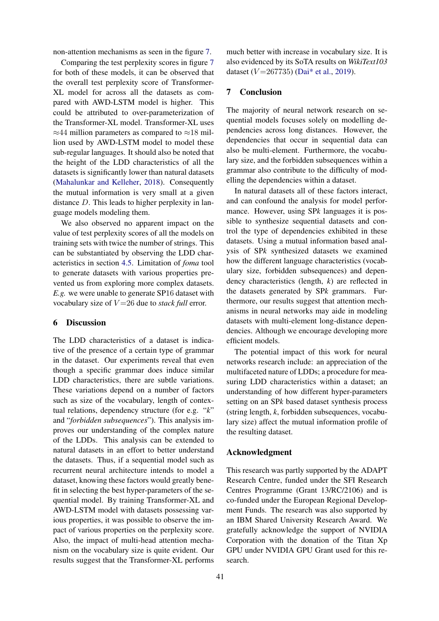non-attention mechanisms as seen in the figure [7.](#page-6-3)

Comparing the test perplexity scores in figure [7](#page-6-3) for both of these models, it can be observed that the overall test perplexity score of Transformer-XL model for across all the datasets as compared with AWD-LSTM model is higher. This could be attributed to over-parameterization of the Transformer-XL model. Transformer-XL uses  $\approx$ 44 million parameters as compared to  $\approx$ 18 million used by AWD-LSTM model to model these sub-regular languages. It should also be noted that the height of the LDD characteristics of all the datasets is significantly lower than natural datasets [\(Mahalunkar and Kelleher,](#page-8-25) [2018\)](#page-8-25). Consequently the mutual information is very small at a given distance D. This leads to higher perplexity in language models modeling them.

We also observed no apparent impact on the value of test perplexity scores of all the models on training sets with twice the number of strings. This can be substantiated by observing the LDD characteristics in section [4.5.](#page-5-3) Limitation of *foma* tool to generate datasets with various properties prevented us from exploring more complex datasets. *E.g.* we were unable to generate SP16 dataset with vocabulary size of  $V = 26$  due to *stack full* error.

## 6 Discussion

The LDD characteristics of a dataset is indicative of the presence of a certain type of grammar in the dataset. Our experiments reveal that even though a specific grammar does induce similar LDD characteristics, there are subtle variations. These variations depend on a number of factors such as size of the vocabulary, length of contextual relations, dependency structure (for e.g. "*k*" and "*forbidden subsequences*"). This analysis improves our understanding of the complex nature of the LDDs. This analysis can be extended to natural datasets in an effort to better understand the datasets. Thus, if a sequential model such as recurrent neural architecture intends to model a dataset, knowing these factors would greatly benefit in selecting the best hyper-parameters of the sequential model. By training Transformer-XL and AWD-LSTM model with datasets possessing various properties, it was possible to observe the impact of various properties on the perplexity score. Also, the impact of multi-head attention mechanism on the vocabulary size is quite evident. Our results suggest that the Transformer-XL performs

much better with increase in vocabulary size. It is also evidenced by its SoTA results on *WikiText103* dataset ( $V = 267735$ ) [\(Dai\\* et al.,](#page-8-7) [2019\)](#page-8-7).

## 7 Conclusion

The majority of neural network research on sequential models focuses solely on modelling dependencies across long distances. However, the dependencies that occur in sequential data can also be multi-element. Furthermore, the vocabulary size, and the forbidden subsequences within a grammar also contribute to the difficulty of modelling the dependencies within a dataset.

In natural datasets all of these factors interact, and can confound the analysis for model performance. However, using SP*k* languages it is possible to synthesize sequential datasets and control the type of dependencies exhibited in these datasets. Using a mutual information based analysis of SP*k* synthesized datasets we examined how the different language characteristics (vocabulary size, forbidden subsequences) and dependency characteristics (length, *k*) are reflected in the datasets generated by SP*k* grammars. Furthermore, our results suggest that attention mechanisms in neural networks may aide in modeling datasets with multi-element long-distance dependencies. Although we encourage developing more efficient models.

The potential impact of this work for neural networks research include: an appreciation of the multifaceted nature of LDDs; a procedure for measuring LDD characteristics within a dataset; an understanding of how different hyper-parameters setting on an SP*k* based dataset synthesis process (string length, *k*, forbidden subsequences, vocabulary size) affect the mutual information profile of the resulting dataset.

## Acknowledgment

This research was partly supported by the ADAPT Research Centre, funded under the SFI Research Centres Programme (Grant 13/RC/2106) and is co-funded under the European Regional Development Funds. The research was also supported by an IBM Shared University Research Award. We gratefully acknowledge the support of NVIDIA Corporation with the donation of the Titan Xp GPU under NVIDIA GPU Grant used for this research.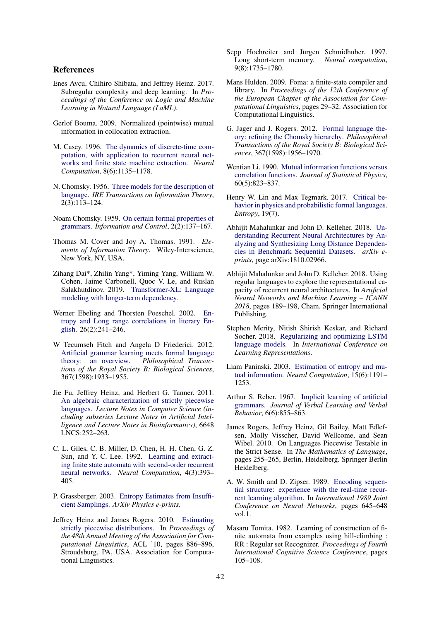#### References

- <span id="page-8-6"></span>Enes Avcu, Chihiro Shibata, and Jeffrey Heinz. 2017. Subregular complexity and deep learning. In *Proceedings of the Conference on Logic and Machine Learning in Natural Language (LaML)*.
- <span id="page-8-2"></span>Gerlof Bouma. 2009. Normalized (pointwise) mutual information in collocation extraction.
- <span id="page-8-13"></span>M. Casey. 1996. [The dynamics of discrete-time com](https://doi.org/10.1162/neco.1996.8.6.1135)[putation, with application to recurrent neural net](https://doi.org/10.1162/neco.1996.8.6.1135)[works and finite state machine extraction.](https://doi.org/10.1162/neco.1996.8.6.1135) *Neural Computation*, 8(6):1135–1178.
- <span id="page-8-9"></span>N. Chomsky. 1956. [Three models for the description of](https://doi.org/10.1109/TIT.1956.1056813) [language.](https://doi.org/10.1109/TIT.1956.1056813) *IRE Transactions on Information Theory*, 2(3):113–124.
- <span id="page-8-10"></span>Noam Chomsky. 1959. [On certain formal properties of](https://doi.org/https://doi.org/10.1016/S0019-9958(59)90362-6) [grammars.](https://doi.org/https://doi.org/10.1016/S0019-9958(59)90362-6) *Information and Control*, 2(2):137–167.
- <span id="page-8-0"></span>Thomas M. Cover and Joy A. Thomas. 1991. *Elements of Information Theory*. Wiley-Interscience, New York, NY, USA.
- <span id="page-8-7"></span>Zihang Dai\*, Zhilin Yang\*, Yiming Yang, William W. Cohen, Jaime Carbonell, Quoc V. Le, and Ruslan Salakhutdinov. 2019. [Transformer-XL: Language](https://openreview.net/forum?id=HJePno0cYm) [modeling with longer-term dependency.](https://openreview.net/forum?id=HJePno0cYm)
- <span id="page-8-21"></span>Werner Ebeling and Thorsten Poeschel. 2002. [En](https://doi.org/10.1209/0295-5075/26/4/001)[tropy and Long range correlations in literary En](https://doi.org/10.1209/0295-5075/26/4/001)[glish.](https://doi.org/10.1209/0295-5075/26/4/001) 26(2):241–246.
- <span id="page-8-11"></span>W Tecumseh Fitch and Angela D Friederici. 2012. [Artificial grammar learning meets formal language](https://doi.org/10.1098/rstb.2012.0103) [theory: an overview.](https://doi.org/10.1098/rstb.2012.0103) *Philosophical Transactions of the Royal Society B: Biological Sciences*, 367(1598):1933–1955.
- <span id="page-8-5"></span>Jie Fu, Jeffrey Heinz, and Herbert G. Tanner. 2011. [An algebraic characterization of strictly piecewise](https://doi.org/10.1007/978-3-642-20877-5_26) [languages.](https://doi.org/10.1007/978-3-642-20877-5_26) *Lecture Notes in Computer Science (including subseries Lecture Notes in Artificial Intelligence and Lecture Notes in Bioinformatics)*, 6648 LNCS:252–263.
- <span id="page-8-17"></span>C. L. Giles, C. B. Miller, D. Chen, H. H. Chen, G. Z. Sun, and Y. C. Lee. 1992. [Learning and extract](https://doi.org/10.1162/neco.1992.4.3.393)[ing finite state automata with second-order recurrent](https://doi.org/10.1162/neco.1992.4.3.393) [neural networks.](https://doi.org/10.1162/neco.1992.4.3.393) *Neural Computation*, 4(3):393– 405.
- <span id="page-8-23"></span>P. Grassberger. 2003. [Entropy Estimates from Insuffi](http://arxiv.org/abs/physics/0307138)[cient Samplings.](http://arxiv.org/abs/physics/0307138) *ArXiv Physics e-prints*.
- <span id="page-8-19"></span>Jeffrey Heinz and James Rogers. 2010. [Estimating](http://dl.acm.org/citation.cfm?id=1858681.1858772) [strictly piecewise distributions.](http://dl.acm.org/citation.cfm?id=1858681.1858772) In *Proceedings of the 48th Annual Meeting of the Association for Computational Linguistics*, ACL '10, pages 886–896, Stroudsburg, PA, USA. Association for Computational Linguistics.
- <span id="page-8-15"></span>Sepp Hochreiter and Jürgen Schmidhuber. 1997. Long short-term memory. *Neural computation*, 9(8):1735–1780.
- <span id="page-8-24"></span>Mans Hulden. 2009. Foma: a finite-state compiler and library. In *Proceedings of the 12th Conference of the European Chapter of the Association for Computational Linguistics*, pages 29–32. Association for Computational Linguistics.
- <span id="page-8-18"></span>G. Jager and J. Rogers. 2012. [Formal language the](https://doi.org/10.1098/rstb.2012.0077)[ory: refining the Chomsky hierarchy.](https://doi.org/10.1098/rstb.2012.0077) *Philosophical Transactions of the Royal Society B: Biological Sciences*, 367(1598):1956–1970.
- <span id="page-8-22"></span>Wentian Li. 1990. [Mutual information functions versus](https://doi.org/10.1007/BF01025996) [correlation functions.](https://doi.org/10.1007/BF01025996) *Journal of Statistical Physics*, 60(5):823–837.
- <span id="page-8-3"></span>Henry W. Lin and Max Tegmark. 2017. [Critical be](https://doi.org/10.3390/e19070299)[havior in physics and probabilistic formal languages.](https://doi.org/10.3390/e19070299) *Entropy*, 19(7).
- <span id="page-8-25"></span>Abhijit Mahalunkar and John D. Kelleher. 2018. [Un](http://arxiv.org/abs/1810.02966)[derstanding Recurrent Neural Architectures by An](http://arxiv.org/abs/1810.02966)[alyzing and Synthesizing Long Distance Dependen](http://arxiv.org/abs/1810.02966)[cies in Benchmark Sequential Datasets.](http://arxiv.org/abs/1810.02966) *arXiv eprints*, page arXiv:1810.02966.
- <span id="page-8-20"></span>Abhijit Mahalunkar and John D. Kelleher. 2018. Using regular languages to explore the representational capacity of recurrent neural architectures. In *Artificial Neural Networks and Machine Learning – ICANN 2018*, pages 189–198, Cham. Springer International Publishing.
- <span id="page-8-8"></span>Stephen Merity, Nitish Shirish Keskar, and Richard Socher. 2018. [Regularizing and optimizing LSTM](https://openreview.net/forum?id=SyyGPP0TZ) [language models.](https://openreview.net/forum?id=SyyGPP0TZ) In *International Conference on Learning Representations*.
- <span id="page-8-1"></span>Liam Paninski. 2003. [Estimation of entropy and mu](https://doi.org/10.1162/089976603321780272)[tual information.](https://doi.org/10.1162/089976603321780272) *Neural Computation*, 15(6):1191– 1253.
- <span id="page-8-12"></span>Arthur S. Reber. 1967. [Implicit learning of artificial](https://doi.org/10.1016/S0022-5371(67)80149-X) [grammars.](https://doi.org/10.1016/S0022-5371(67)80149-X) *Journal of Verbal Learning and Verbal Behavior*, 6(6):855–863.
- <span id="page-8-4"></span>James Rogers, Jeffrey Heinz, Gil Bailey, Matt Edlefsen, Molly Visscher, David Wellcome, and Sean Wibel. 2010. On Languages Piecewise Testable in the Strict Sense. In *The Mathematics of Language*, pages 255–265, Berlin, Heidelberg. Springer Berlin Heidelberg.
- <span id="page-8-14"></span>A. W. Smith and D. Zipser. 1989. [Encoding sequen](https://doi.org/10.1109/IJCNN.1989.118646)[tial structure: experience with the real-time recur](https://doi.org/10.1109/IJCNN.1989.118646)[rent learning algorithm.](https://doi.org/10.1109/IJCNN.1989.118646) In *International 1989 Joint Conference on Neural Networks*, pages 645–648 vol.1.
- <span id="page-8-16"></span>Masaru Tomita. 1982. Learning of construction of finite automata from examples using hill-climbing : RR : Regular set Recognizer. *Proceedings of Fourth International Cognitive Science Conference*, pages 105–108.